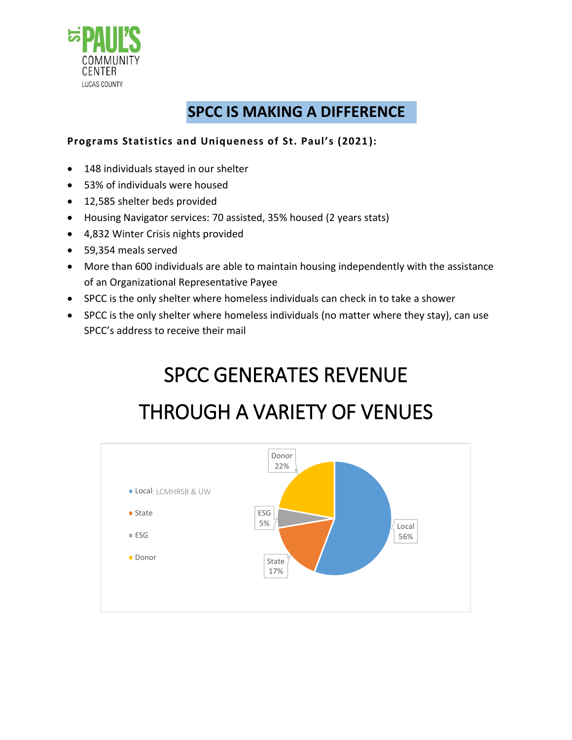

### **SPCC IS MAKING A DIFFERENCE**

#### **Programs Statistics and Uniqueness of St. Paul's (2021):**

- 148 individuals stayed in our shelter
- 53% of individuals were housed
- 12,585 shelter beds provided
- Housing Navigator services: 70 assisted, 35% housed (2 years stats)
- 4,832 Winter Crisis nights provided
- 59,354 meals served
- More than 600 individuals are able to maintain housing independently with the assistance of an Organizational Representative Payee
- SPCC is the only shelter where homeless individuals can check in to take a shower
- SPCC is the only shelter where homeless individuals (no matter where they stay), can use SPCC's address to receive their mail

# SPCC GENERATES REVENUE

### THROUGH A VARIETY OF VENUES